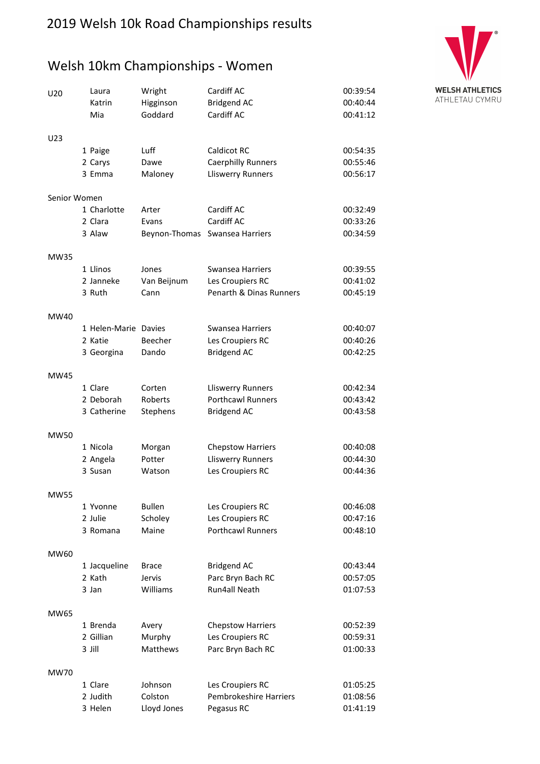## 2019 Welsh 10k Road Championships results

## Welsh 10km Championships - Women



| U <sub>20</sub> | Laura<br>Katrin      | Wright<br>Higginson | Cardiff AC<br><b>Bridgend AC</b>   | 00:39:54<br>00:40:44 |
|-----------------|----------------------|---------------------|------------------------------------|----------------------|
|                 | Mia                  | Goddard             | Cardiff AC                         | 00:41:12             |
| U <sub>23</sub> |                      |                     |                                    |                      |
|                 | 1 Paige              | Luff                | Caldicot RC                        | 00:54:35             |
|                 | 2 Carys              | Dawe                | <b>Caerphilly Runners</b>          | 00:55:46             |
|                 | 3 Emma               | Maloney             | Lliswerry Runners                  | 00:56:17             |
| Senior Women    |                      |                     |                                    |                      |
|                 | 1 Charlotte          | Arter               | Cardiff AC                         | 00:32:49             |
|                 | 2 Clara              | Evans               | Cardiff AC                         | 00:33:26             |
|                 | 3 Alaw               | Beynon-Thomas       | Swansea Harriers                   | 00:34:59             |
| MW35            |                      |                     |                                    |                      |
|                 | 1 Llinos             | Jones               | <b>Swansea Harriers</b>            | 00:39:55             |
|                 | 2 Janneke            | Van Beijnum         | Les Croupiers RC                   | 00:41:02             |
|                 | 3 Ruth               | Cann                | <b>Penarth &amp; Dinas Runners</b> | 00:45:19             |
| MW40            |                      |                     |                                    |                      |
|                 | 1 Helen-Marie Davies |                     | Swansea Harriers                   | 00:40:07             |
|                 | 2 Katie              | Beecher             | Les Croupiers RC                   | 00:40:26             |
|                 | 3 Georgina           | Dando               | <b>Bridgend AC</b>                 | 00:42:25             |
| MW45            |                      |                     |                                    |                      |
|                 | 1 Clare              | Corten              | Lliswerry Runners                  | 00:42:34             |
|                 | 2 Deborah            | Roberts             | <b>Porthcawl Runners</b>           | 00:43:42             |
|                 | 3 Catherine          | Stephens            | <b>Bridgend AC</b>                 | 00:43:58             |
| MW50            |                      |                     |                                    |                      |
|                 | 1 Nicola             | Morgan              | <b>Chepstow Harriers</b>           | 00:40:08             |
|                 | 2 Angela             | Potter              | <b>Lliswerry Runners</b>           | 00:44:30             |
|                 | 3 Susan              | Watson              | Les Croupiers RC                   | 00:44:36             |
| <b>MW55</b>     |                      |                     |                                    |                      |
|                 | 1 Yvonne             | <b>Bullen</b>       | Les Croupiers RC                   | 00:46:08             |
|                 | 2 Julie              | Scholey             | Les Croupiers RC                   | 00:47:16             |
|                 | 3 Romana             | Maine               | <b>Porthcawl Runners</b>           | 00:48:10             |
| MW60            |                      |                     |                                    |                      |
|                 | 1 Jacqueline         | <b>Brace</b>        | <b>Bridgend AC</b>                 | 00:43:44             |
|                 | 2 Kath               | Jervis              | Parc Bryn Bach RC                  | 00:57:05             |
|                 | 3 Jan                | Williams            | Run4all Neath                      | 01:07:53             |
| MW65            |                      |                     |                                    |                      |
|                 | 1 Brenda             | Avery               | <b>Chepstow Harriers</b>           | 00:52:39             |
|                 | 2 Gillian            | Murphy              | Les Croupiers RC                   | 00:59:31             |
|                 | 3 Jill               | <b>Matthews</b>     | Parc Bryn Bach RC                  | 01:00:33             |
| MW70            |                      |                     |                                    |                      |
|                 | 1 Clare              | Johnson             | Les Croupiers RC                   | 01:05:25             |
|                 | 2 Judith             | Colston             | <b>Pembrokeshire Harriers</b>      | 01:08:56             |
|                 | 3 Helen              | Lloyd Jones         | Pegasus RC                         | 01:41:19             |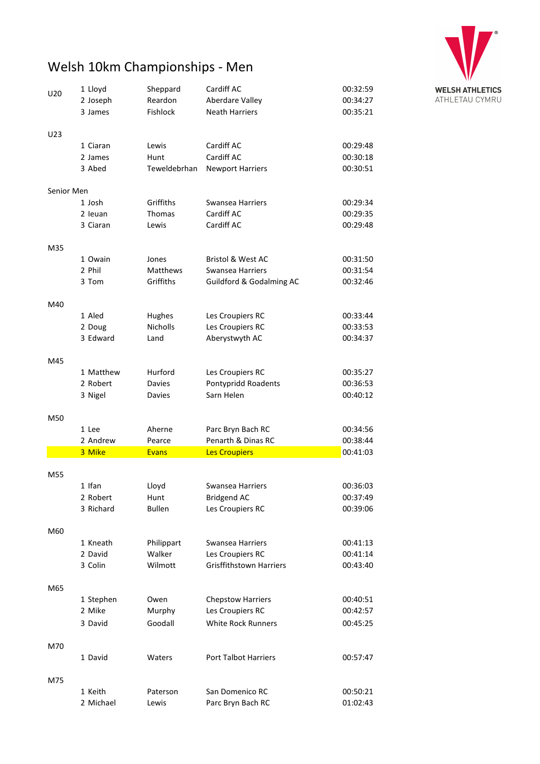

# Welsh 10km Championships - Men

| U20        | 1 Lloyd   | Sheppard        | Cardiff AC                          | 00:32:59 |
|------------|-----------|-----------------|-------------------------------------|----------|
|            | 2 Joseph  | Reardon         | Aberdare Valley                     | 00:34:27 |
|            | 3 James   | <b>Fishlock</b> | <b>Neath Harriers</b>               | 00:35:21 |
| U23        |           |                 |                                     |          |
|            | 1 Ciaran  | Lewis           | Cardiff AC                          | 00:29:48 |
|            | 2 James   | Hunt            | Cardiff AC                          | 00:30:18 |
|            | 3 Abed    | Teweldebrhan    | <b>Newport Harriers</b>             | 00:30:51 |
| Senior Men |           |                 |                                     |          |
|            | 1 Josh    | Griffiths       | <b>Swansea Harriers</b>             | 00:29:34 |
|            | 2 leuan   | <b>Thomas</b>   | Cardiff AC                          | 00:29:35 |
|            | 3 Ciaran  | Lewis           | Cardiff AC                          | 00:29:48 |
| M35        |           |                 |                                     |          |
|            | 1 Owain   | Jones           | <b>Bristol &amp; West AC</b>        | 00:31:50 |
|            | 2 Phil    | Matthews        | Swansea Harriers                    | 00:31:54 |
|            | 3 Tom     | Griffiths       | <b>Guildford &amp; Godalming AC</b> | 00:32:46 |
| M40        |           |                 |                                     |          |
|            | 1 Aled    | Hughes          | Les Croupiers RC                    | 00:33:44 |
|            | 2 Doug    | <b>Nicholls</b> | Les Croupiers RC                    | 00:33:53 |
|            | 3 Edward  | Land            | Aberystwyth AC                      | 00:34:37 |
| M45        |           |                 |                                     |          |
|            | 1 Matthew | Hurford         | Les Croupiers RC                    | 00:35:27 |
|            | 2 Robert  | Davies          | Pontypridd Roadents                 | 00:36:53 |
|            | 3 Nigel   | Davies          | Sarn Helen                          | 00:40:12 |
| M50        |           |                 |                                     |          |
|            | 1 Lee     | Aherne          | Parc Bryn Bach RC                   | 00:34:56 |
|            | 2 Andrew  | Pearce          | Penarth & Dinas RC                  | 00:38:44 |
|            | 3 Mike    | <b>Evans</b>    | <b>Les Croupiers</b>                | 00:41:03 |
| M55        |           |                 |                                     |          |
|            | 1 Ifan    | Lloyd           | Swansea Harriers                    | 00:36:03 |
|            | 2 Robert  | Hunt            | <b>Bridgend AC</b>                  | 00:37:49 |
|            | 3 Richard | <b>Bullen</b>   | Les Croupiers RC                    | 00:39:06 |
| M60        |           |                 |                                     |          |
|            | 1 Kneath  | Philippart      | <b>Swansea Harriers</b>             | 00:41:13 |
|            | 2 David   | Walker          | Les Croupiers RC                    | 00:41:14 |
|            | 3 Colin   | Wilmott         | <b>Grisffithstown Harriers</b>      | 00:43:40 |
| M65        |           |                 |                                     |          |
|            | 1 Stephen | Owen            | <b>Chepstow Harriers</b>            | 00:40:51 |
|            | 2 Mike    | Murphy          | Les Croupiers RC                    | 00:42:57 |
|            | 3 David   | Goodall         | <b>White Rock Runners</b>           | 00:45:25 |
| M70        |           |                 |                                     |          |
|            | 1 David   | Waters          | <b>Port Talbot Harriers</b>         | 00:57:47 |
| M75        |           |                 |                                     |          |
|            | 1 Keith   | Paterson        | San Domenico RC                     | 00:50:21 |
|            | 2 Michael | Lewis           | Parc Bryn Bach RC                   | 01:02:43 |